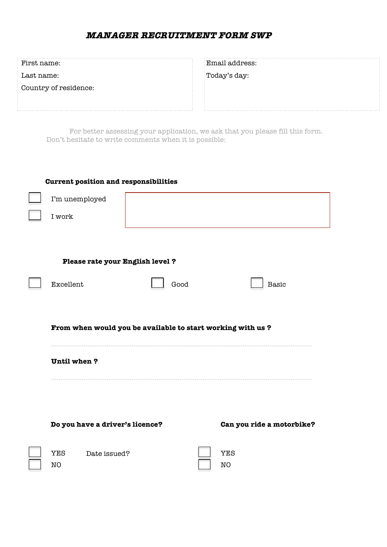| First name:                                                                                                                            | Email address: |  |
|----------------------------------------------------------------------------------------------------------------------------------------|----------------|--|
| Last name:                                                                                                                             | Today's day:   |  |
| Country of residence:                                                                                                                  |                |  |
|                                                                                                                                        |                |  |
|                                                                                                                                        |                |  |
| For better assessing your application, we ask that you please fill this form.<br>Don't hesitate to write comments when it is possible: |                |  |

| <b>Current position and responsibilities</b>               |      |                  |                           |
|------------------------------------------------------------|------|------------------|---------------------------|
| I'm unemployed                                             |      |                  |                           |
| I work                                                     |      |                  |                           |
|                                                            |      |                  |                           |
|                                                            |      |                  |                           |
| Please rate your English level ?                           |      |                  |                           |
| Excellent                                                  | Good |                  | Basic                     |
|                                                            |      |                  |                           |
| From when would you be available to start working with us? |      |                  |                           |
| Until when?                                                |      |                  |                           |
|                                                            |      |                  |                           |
|                                                            |      |                  |                           |
| Do you have a driver's licence?                            |      |                  | Can you ride a motorbike? |
| <b>YES</b><br>Date issued?<br>NO                           |      | <b>YES</b><br>NO |                           |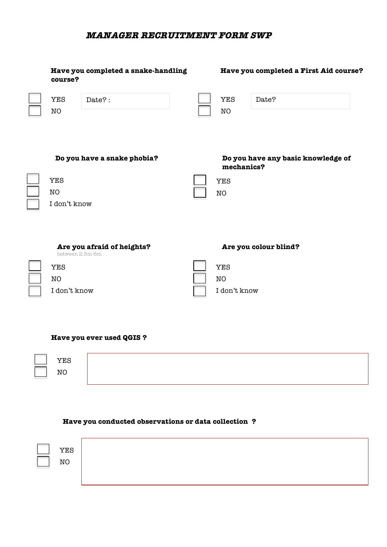| Have you completed a snake-handling<br>course? | Have you completed a First Aid course?           |
|------------------------------------------------|--------------------------------------------------|
| <b>YES</b><br>Date?:<br>NO                     | <b>YES</b><br>Date?<br>NO                        |
| Do you have a snake phobia?                    | Do you have any basic knowledge of<br>mechanics? |
| <b>YES</b>                                     | <b>YES</b>                                       |
| NO                                             | NO                                               |
| I don't know                                   |                                                  |
| Are you afraid of heights?<br>between 2.5m-6m  | Are you colour blind?                            |
| <b>YES</b>                                     | <b>YES</b>                                       |
| NO                                             | NO                                               |
| I don't know                                   | I don't know                                     |

#### **Have you ever used QGIS ?**

| ∩ הדי־<br>т Рн.,<br>-~ |  |  |
|------------------------|--|--|
|                        |  |  |

## **Have you conducted observations or data collection ?**

| YES<br>NC |  |
|-----------|--|
|           |  |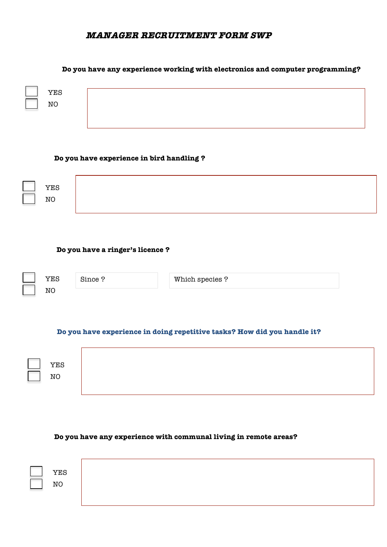